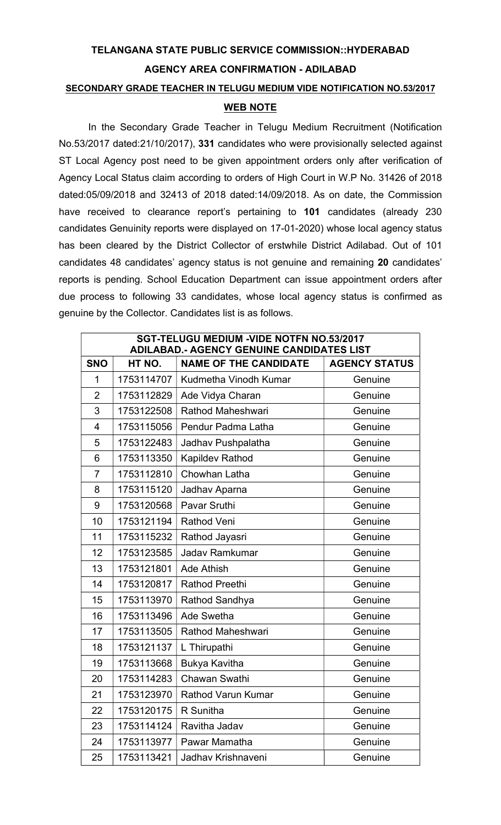## TELANGANA STATE PUBLIC SERVICE COMMISSION::HYDERABAD AGENCY AREA CONFIRMATION - ADILABAD

## SECONDARY GRADE TEACHER IN TELUGU MEDIUM VIDE NOTIFICATION NO.53/2017

## WEB NOTE

In the Secondary Grade Teacher in Telugu Medium Recruitment (Notification No.53/2017 dated:21/10/2017), 331 candidates who were provisionally selected against ST Local Agency post need to be given appointment orders only after verification of Agency Local Status claim according to orders of High Court in W.P No. 31426 of 2018 dated:05/09/2018 and 32413 of 2018 dated:14/09/2018. As on date, the Commission have received to clearance report's pertaining to 101 candidates (already 230 candidates Genuinity reports were displayed on 17-01-2020) whose local agency status has been cleared by the District Collector of erstwhile District Adilabad. Out of 101 candidates 48 candidates' agency status is not genuine and remaining 20 candidates' reports is pending. School Education Department can issue appointment orders after due process to following 33 candidates, whose local agency status is confirmed as genuine by the Collector. Candidates list is as follows.

| SGT-TELUGU MEDIUM -VIDE NOTFN NO.53/2017<br>ADILABAD.- AGENCY GENUINE CANDIDATES LIST |            |                              |                      |  |
|---------------------------------------------------------------------------------------|------------|------------------------------|----------------------|--|
| <b>SNO</b>                                                                            | HT NO.     | <b>NAME OF THE CANDIDATE</b> | <b>AGENCY STATUS</b> |  |
| 1                                                                                     | 1753114707 | Kudmetha Vinodh Kumar        | Genuine              |  |
| $\overline{2}$                                                                        | 1753112829 | Ade Vidya Charan             | Genuine              |  |
| 3                                                                                     | 1753122508 | Rathod Maheshwari            | Genuine              |  |
| 4                                                                                     | 1753115056 | Pendur Padma Latha           | Genuine              |  |
| 5                                                                                     | 1753122483 | Jadhav Pushpalatha           | Genuine              |  |
| 6                                                                                     | 1753113350 | Kapildev Rathod              | Genuine              |  |
| $\overline{7}$                                                                        | 1753112810 | Chowhan Latha                | Genuine              |  |
| 8                                                                                     | 1753115120 | Jadhav Aparna                | Genuine              |  |
| 9                                                                                     | 1753120568 | <b>Pavar Sruthi</b>          | Genuine              |  |
| 10                                                                                    | 1753121194 | <b>Rathod Veni</b>           | Genuine              |  |
| 11                                                                                    | 1753115232 | Rathod Jayasri               | Genuine              |  |
| 12                                                                                    | 1753123585 | <b>Jadav Ramkumar</b>        | Genuine              |  |
| 13                                                                                    | 1753121801 | Ade Athish                   | Genuine              |  |
| 14                                                                                    | 1753120817 | <b>Rathod Preethi</b>        | Genuine              |  |
| 15                                                                                    | 1753113970 | Rathod Sandhya               | Genuine              |  |
| 16                                                                                    | 1753113496 | Ade Swetha                   | Genuine              |  |
| 17                                                                                    | 1753113505 | Rathod Maheshwari            | Genuine              |  |
| 18                                                                                    | 1753121137 | L Thirupathi                 | Genuine              |  |
| 19                                                                                    | 1753113668 | <b>Bukya Kavitha</b>         | Genuine              |  |
| 20                                                                                    | 1753114283 | Chawan Swathi                | Genuine              |  |
| 21                                                                                    | 1753123970 | Rathod Varun Kumar           | Genuine              |  |
| 22                                                                                    | 1753120175 | R Sunitha                    | Genuine              |  |
| 23                                                                                    | 1753114124 | Ravitha Jadav                | Genuine              |  |
| 24                                                                                    | 1753113977 | Pawar Mamatha                | Genuine              |  |
| 25                                                                                    | 1753113421 | Jadhav Krishnaveni           | Genuine              |  |